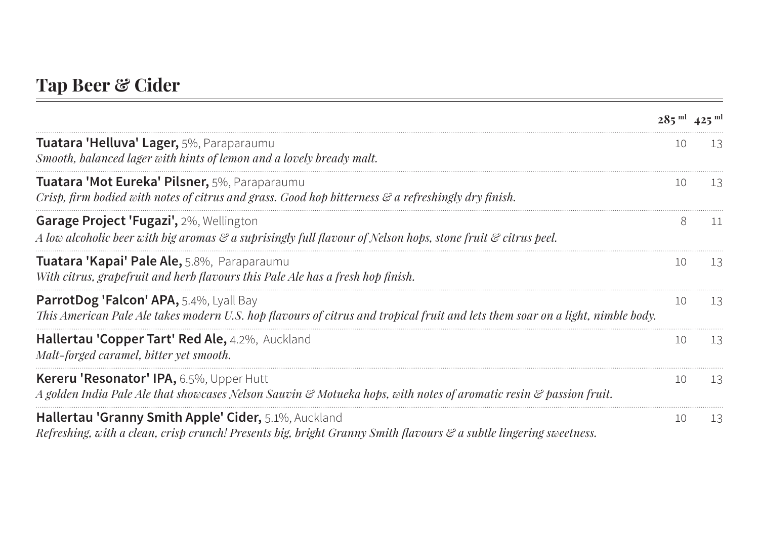## **Tap Beer & Cider**

|                                                                                                                                                                                  | $285^{\mathrm{m1}}$ 425 $^{\mathrm{m1}}$ |                |
|----------------------------------------------------------------------------------------------------------------------------------------------------------------------------------|------------------------------------------|----------------|
| Tuatara 'Helluva' Lager, 5%, Paraparaumu<br>Smooth, balanced lager with hints of lemon and a lovely bready malt.                                                                 | 10                                       | 13             |
| Tuatara 'Mot Eureka' Pilsner, 5%, Paraparaumu<br>Crisp, firm bodied with notes of citrus and grass. Good hop bitterness $\mathcal E$ a refreshingly dry finish.                  | 1()                                      | 13             |
| <b>Garage Project 'Fugazi', 2%, Wellington</b><br>A low alcoholic beer with big aromas & a suprisingly full flavour of Nelson hops, stone fruit & citrus peel.                   | 8                                        | $\blacksquare$ |
| Tuatara 'Kapai' Pale Ale, 5.8%, Paraparaumu<br>With citrus, grapefruit and herb flavours this Pale Ale has a fresh hop finish.                                                   | 1()                                      |                |
| <b>ParrotDog 'Falcon' APA,</b> 5.4%, Lyall Bay<br>This American Pale Ale takes modern U.S. hop flavours of citrus and tropical fruit and lets them soar on a light, nimble body. | 10                                       | 13             |
| Hallertau 'Copper Tart' Red Ale, 4.2%, Auckland<br>Malt-forged caramel, bitter yet smooth.                                                                                       | 10                                       | 13             |
| Kereru 'Resonator' IPA, 6.5%, Upper Hutt<br>A golden India Pale Ale that showcases Nelson Sauvin & Motueka hops, with notes of aromatic resin & passion fruit.                   | 10                                       | 13             |
| Hallertau 'Granny Smith Apple' Cider, 5.1%, Auckland<br>Refreshing, with a clean, crisp crunch! Presents big, bright Granny Smith flavours & a subtle lingering sweetness.       | 10                                       | 13             |